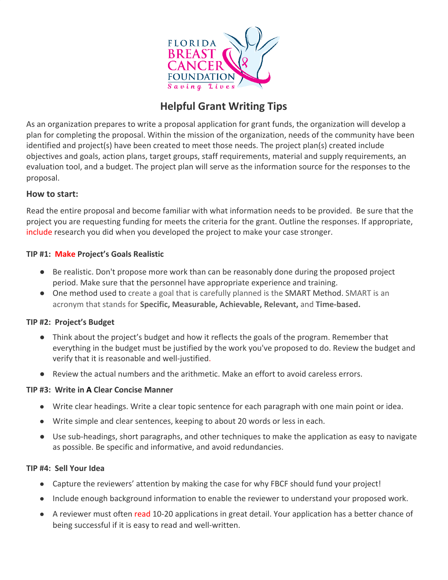

# **Helpful Grant Writing Tips**

As an organization prepares to write a proposal application for grant funds, the organization will develop a plan for completing the proposal. Within the mission of the organization, needs of the community have been identified and project(s) have been created to meet those needs. The project plan(s) created include objectives and goals, action plans, target groups, staff requirements, material and supply requirements, an evaluation tool, and a budget. The project plan will serve as the information source for the responses to the proposal.

### **How to start:**

Read the entire proposal and become familiar with what information needs to be provided. Be sure that the project you are requesting funding for meets the criteria for the grant. Outline the responses. If appropriate, include research you did when you developed the project to make your case stronger.

## **TIP #1: Make Project's Goals Realistic**

- Be realistic. Don't propose more work than can be reasonably done during the proposed project period. Make sure that the personnel have appropriate experience and training.
- One method used to create a goal that is carefully planned is the SMART Method. SMART is an acronym that stands for **Specific, Measurable, Achievable, Relevant,** and **Time-based.**

### **TIP #2: Project's Budget**

- **●** Think about the project's budget and how it reflects the goals of the program. Remember that everything in the budget must be justified by the work you've proposed to do. Review the budget and verify that it is reasonable and well-justified.
- **●** Review the actual numbers and the arithmetic. Make an effort to avoid careless errors.

### **TIP #3: Write in A Clear Concise Manner**

- Write clear headings. Write a clear topic sentence for each paragraph with one main point or idea.
- Write simple and clear sentences, keeping to about 20 words or less in each.
- Use sub-headings, short paragraphs, and other techniques to make the application as easy to navigate as possible. Be specific and informative, and avoid redundancies.

### **TIP #4: Sell Your Idea**

- Capture the reviewers' attention by making the case for why FBCF should fund your project!
- Include enough background information to enable the reviewer to understand your proposed work.
- A reviewer must often read 10-20 applications in great detail. Your application has a better chance of being successful if it is easy to read and well-written.